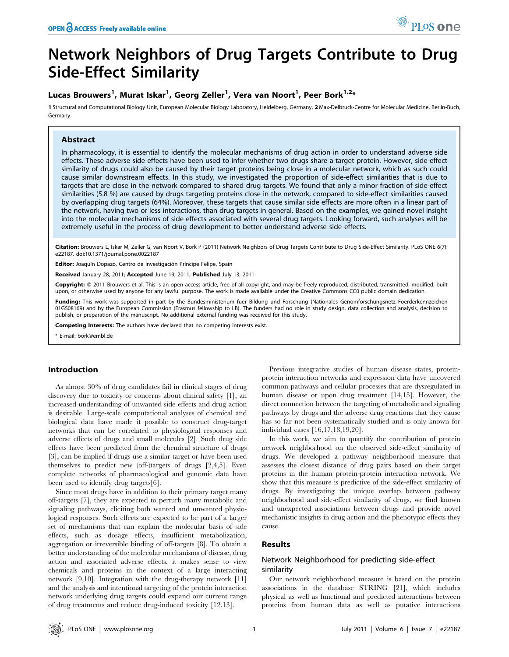# Network Neighbors of Drug Targets Contribute to Drug Side-Effect Similarity

# Lucas Brouwers<sup>1</sup>, Murat Iskar<sup>1</sup>, Georg Zeller<sup>1</sup>, Vera van Noort<sup>1</sup>, Peer Bork<sup>1,2</sup>\*

1 Structural and Computational Biology Unit, European Molecular Biology Laboratory, Heidelberg, Germany, 2 Max-Delbruck-Centre for Molecular Medicine, Berlin-Buch, Germany

## Abstract

In pharmacology, it is essential to identify the molecular mechanisms of drug action in order to understand adverse side effects. These adverse side effects have been used to infer whether two drugs share a target protein. However, side-effect similarity of drugs could also be caused by their target proteins being close in a molecular network, which as such could cause similar downstream effects. In this study, we investigated the proportion of side-effect similarities that is due to targets that are close in the network compared to shared drug targets. We found that only a minor fraction of side-effect similarities (5.8 %) are caused by drugs targeting proteins close in the network, compared to side-effect similarities caused by overlapping drug targets (64%). Moreover, these targets that cause similar side effects are more often in a linear part of the network, having two or less interactions, than drug targets in general. Based on the examples, we gained novel insight into the molecular mechanisms of side effects associated with several drug targets. Looking forward, such analyses will be extremely useful in the process of drug development to better understand adverse side effects.

Citation: Brouwers L, Iskar M, Zeller G, van Noort V, Bork P (2011) Network Neighbors of Drug Targets Contribute to Drug Side-Effect Similarity. PLoS ONE 6(7): e22187. doi:10.1371/journal.pone.0022187

Editor: Joaquín Dopazo, Centro de Investigación Príncipe Felipe, Spain

Received January 28, 2011; Accepted June 19, 2011; Published July 13, 2011

Copyright: @ 2011 Brouwers et al. This is an open-access article, free of all copyright, and may be freely reproduced, distributed, transmitted, modified, built upon, or otherwise used by anyone for any lawful purpose. The work is made available under the Creative Commons CC0 public domain dedication.

Funding: This work was supported in part by the Bundesministerium fuer Bildung und Forschung (Nationales Genomforschungsnetz Foerderkennzeichen 01GS08169) and by the European Commission (Erasmus fellowship to LB). The funders had no role in study design, data collection and analysis, decision to publish, or preparation of the manuscript. No additional external funding was received for this study.

Competing Interests: The authors have declared that no competing interests exist.

\* E-mail: bork@embl.de

#### Introduction

As almost 30% of drug candidates fail in clinical stages of drug discovery due to toxicity or concerns about clinical safety [1], an increased understanding of unwanted side effects and drug action is desirable. Large-scale computational analyses of chemical and biological data have made it possible to construct drug-target networks that can be correlated to physiological responses and adverse effects of drugs and small molecules [2]. Such drug side effects have been predicted from the chemical structure of drugs [3], can be implied if drugs use a similar target or have been used themselves to predict new (off-)targets of drugs [2,4,5]. Even complete networks of pharmacological and genomic data have been used to identify drug targets[6].

Since most drugs have in addition to their primary target many off-targets [7], they are expected to perturb many metabolic and signaling pathways, eliciting both wanted and unwanted physiological responses. Such effects are expected to be part of a larger set of mechanisms that can explain the molecular basis of side effects, such as dosage effects, insufficient metabolization, aggregation or irreversible binding of off-targets [8]. To obtain a better understanding of the molecular mechanisms of disease, drug action and associated adverse effects, it makes sense to view chemicals and proteins in the context of a large interacting network [9,10]. Integration with the drug-therapy network [11] and the analysis and intentional targeting of the protein interaction network underlying drug targets could expand our current range of drug treatments and reduce drug-induced toxicity [12,13].

Previous integrative studies of human disease states, proteinprotein interaction networks and expression data have uncovered common pathways and cellular processes that are dysregulated in human disease or upon drug treatment [14,15]. However, the direct connection between the targeting of metabolic and signaling pathways by drugs and the adverse drug reactions that they cause has so far not been systematically studied and is only known for individual cases [16,17,18,19,20].

In this work, we aim to quantify the contribution of protein network neighborhood on the observed side-effect similarity of drugs. We developed a pathway neighborhood measure that assesses the closest distance of drug pairs based on their target proteins in the human protein-protein interaction network. We show that this measure is predictive of the side-effect similarity of drugs. By investigating the unique overlap between pathway neighborhood and side-effect similarity of drugs, we find known and unexpected associations between drugs and provide novel mechanistic insights in drug action and the phenotypic effects they cause.

## Results

## Network Neighborhood for predicting side-effect similarity

Our network neighborhood measure is based on the protein associations in the database STRING [21], which includes physical as well as functional and predicted interactions between proteins from human data as well as putative interactions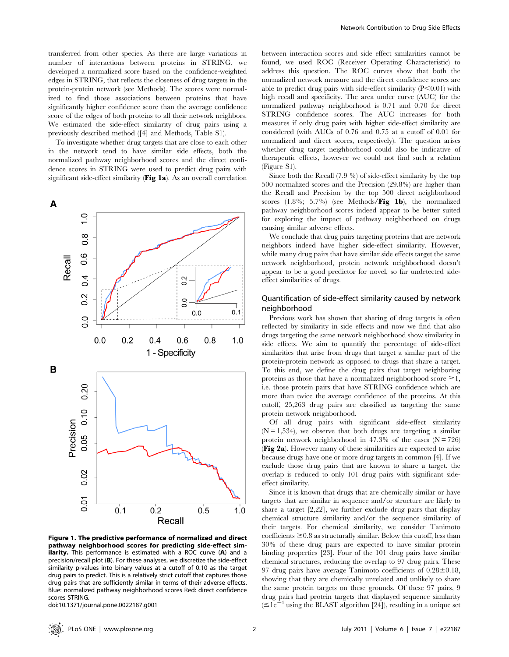transferred from other species. As there are large variations in number of interactions between proteins in STRING, we developed a normalized score based on the confidence-weighted edges in STRING, that reflects the closeness of drug targets in the protein-protein network (see Methods). The scores were normalized to find those associations between proteins that have significantly higher confidence score than the average confidence score of the edges of both proteins to all their network neighbors. We estimated the side-effect similarity of drug pairs using a previously described method ([4] and Methods, Table S1).

To investigate whether drug targets that are close to each other in the network tend to have similar side effects, both the normalized pathway neighborhood scores and the direct confidence scores in STRING were used to predict drug pairs with significant side-effect similarity (Fig 1a). As an overall correlation



Figure 1. The predictive performance of normalized and direct pathway neighborhood scores for predicting side-effect similarity. This performance is estimated with a ROC curve (A) and a precision/recall plot (B). For these analyses, we discretize the side-effect similarity p-values into binary values at a cutoff of 0.10 as the target drug pairs to predict. This is a relatively strict cutoff that captures those drug pairs that are sufficiently similar in terms of their adverse effects. Blue: normalized pathway neighborhood scores Red: direct confidence scores STRING.

doi:10.1371/journal.pone.0022187.g001

between interaction scores and side effect similarities cannot be found, we used ROC (Receiver Operating Characteristic) to address this question. The ROC curves show that both the normalized network measure and the direct confidence scores are able to predict drug pairs with side-effect similarity  $(P<0.01)$  with high recall and specificity. The area under curve (AUC) for the normalized pathway neighborhood is 0.71 and 0.70 for direct STRING confidence scores. The AUC increases for both measures if only drug pairs with higher side-effect similarity are considered (with AUCs of 0.76 and 0.75 at a cutoff of 0.01 for normalized and direct scores, respectively). The question arises whether drug target neighborhood could also be indicative of therapeutic effects, however we could not find such a relation (Figure S1).

Since both the Recall (7.9 %) of side-effect similarity by the top 500 normalized scores and the Precision (29.8%) are higher than the Recall and Precision by the top 500 direct neighborhood scores  $(1.8\%; 5.7\%)$  (see Methods/Fig 1b), the normalized pathway neighborhood scores indeed appear to be better suited for exploring the impact of pathway neighborhood on drugs causing similar adverse effects.

We conclude that drug pairs targeting proteins that are network neighbors indeed have higher side-effect similarity. However, while many drug pairs that have similar side effects target the same network neighborhood, protein network neighborhood doesn't appear to be a good predictor for novel, so far undetected sideeffect similarities of drugs.

## Quantification of side-effect similarity caused by network neighborhood

Previous work has shown that sharing of drug targets is often reflected by similarity in side effects and now we find that also drugs targeting the same network neighborhood show similarity in side effects. We aim to quantify the percentage of side-effect similarities that arise from drugs that target a similar part of the protein-protein network as opposed to drugs that share a target. To this end, we define the drug pairs that target neighboring proteins as those that have a normalized neighborhood score  $\geq 1$ , i.e. those protein pairs that have STRING confidence which are more than twice the average confidence of the proteins. At this cutoff, 25,263 drug pairs are classified as targeting the same protein network neighborhood.

Of all drug pairs with significant side-effect similarity  $(N = 1,534)$ , we observe that both drugs are targeting a similar protein network neighborhood in 47.3% of the cases  $(N = 726)$ (Fig 2a). However many of these similarities are expected to arise because drugs have one or more drug targets in common [4]. If we exclude those drug pairs that are known to share a target, the overlap is reduced to only 101 drug pairs with significant sideeffect similarity.

Since it is known that drugs that are chemically similar or have targets that are similar in sequence and/or structure are likely to share a target [2,22], we further exclude drug pairs that display chemical structure similarity and/or the sequence similarity of their targets. For chemical similarity, we consider Tanimoto  $\alpha$  coefficients  $\geq 0.8$  as structurally similar. Below this cutoff, less than 30% of these drug pairs are expected to have similar protein binding properties [23]. Four of the 101 drug pairs have similar chemical structures, reducing the overlap to 97 drug pairs. These 97 drug pairs have average Tanimoto coefficients of  $0.28 \pm 0.18$ , showing that they are chemically unrelated and unlikely to share the same protein targets on these grounds. Of these 97 pairs, 9 drug pairs had protein targets that displayed sequence similarity  $(\leq)1e^{-4}$  using the BLAST algorithm [24]), resulting in a unique set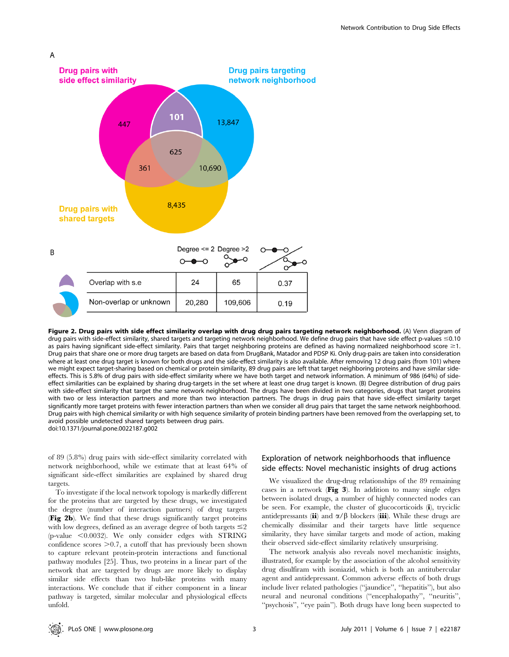

Figure 2. Drug pairs with side effect similarity overlap with drug drug pairs targeting network neighborhood. (A) Venn diagram of drug pairs with side-effect similarity, shared targets and targeting network neighborhood. We define drug pairs that have side effect p-values  $\leq$ 0.10 as pairs having significant side-effect similarity. Pairs that target neighboring proteins are defined as having normalized neighborhood score  $\geq 1$ . Drug pairs that share one or more drug targets are based on data from DrugBank, Matador and PDSP Ki. Only drug-pairs are taken into consideration where at least one drug target is known for both drugs and the side-effect similarity is also available. After removing 12 drug pairs (from 101) where we might expect target-sharing based on chemical or protein similarity, 89 drug pairs are left that target neighboring proteins and have similar sideeffects. This is 5.8% of drug pairs with side-effect similarity where we have both target and network information. A minimum of 986 (64%) of sideeffect similarities can be explained by sharing drug-targets in the set where at least one drug target is known. (B) Degree distribution of drug pairs with side-effect similarity that target the same network neighborhood. The drugs have been divided in two categories, drugs that target proteins with two or less interaction partners and more than two interaction partners. The drugs in drug pairs that have side-effect similarity target significantly more target proteins with fewer interaction partners than when we consider all drug pairs that target the same network neighborhood. Drug pairs with high chemical similarity or with high sequence similarity of protein binding partners have been removed from the overlapping set, to avoid possible undetected shared targets between drug pairs. doi:10.1371/journal.pone.0022187.g002

of 89 (5.8%) drug pairs with side-effect similarity correlated with network neighborhood, while we estimate that at least 64% of significant side-effect similarities are explained by shared drug targets.

To investigate if the local network topology is markedly different for the proteins that are targeted by these drugs, we investigated the degree (number of interaction partners) of drug targets (Fig 2b). We find that these drugs significantly target proteins with low degrees, defined as an average degree of both targets  $\leq 2$ (p-value  $\leq$ 0.0032). We only consider edges with STRING confidence scores  $\geq 0.7$ , a cutoff that has previously been shown to capture relevant protein-protein interactions and functional pathway modules [25]. Thus, two proteins in a linear part of the network that are targeted by drugs are more likely to display similar side effects than two hub-like proteins with many interactions. We conclude that if either component in a linear pathway is targeted, similar molecular and physiological effects unfold.

# Exploration of network neighborhoods that influence side effects: Novel mechanistic insights of drug actions

We visualized the drug-drug relationships of the 89 remaining cases in a network (Fig 3). In addition to many single edges between isolated drugs, a number of highly connected nodes can be seen. For example, the cluster of glucocorticoids (i), tryciclic antidepressants (ii) and  $\alpha/\beta$  blockers (iii). While these drugs are chemically dissimilar and their targets have little sequence similarity, they have similar targets and mode of action, making their observed side-effect similarity relatively unsurprising.

The network analysis also reveals novel mechanistic insights, illustrated, for example by the association of the alcohol sensitivity drug disulfiram with isoniazid, which is both an antitubercular agent and antidepressant. Common adverse effects of both drugs include liver related pathologies (''jaundice'', ''hepatitis''), but also neural and neuronal conditions (''encephalopathy'', ''neuritis'', "psychosis", "eye pain"). Both drugs have long been suspected to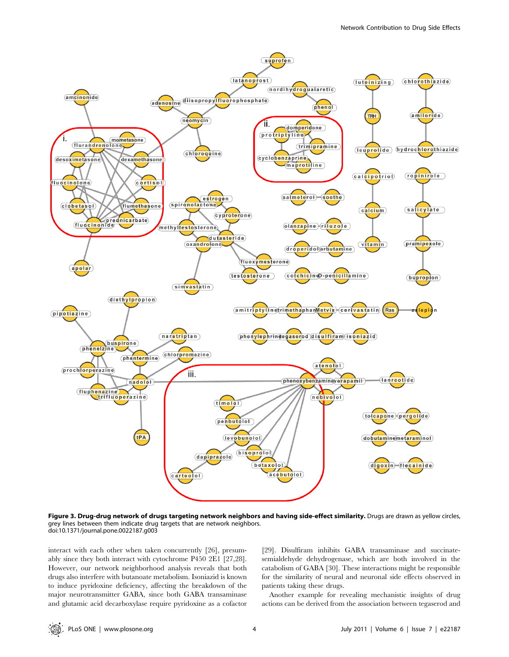

Figure 3. Drug-drug network of drugs targeting network neighbors and having side-effect similarity. Drugs are drawn as yellow circles, grey lines between them indicate drug targets that are network neighbors. doi:10.1371/journal.pone.0022187.g003

interact with each other when taken concurrently [26], presumably since they both interact with cytochrome P450 2E1 [27,28]. However, our network neighborhood analysis reveals that both drugs also interfere with butanoate metabolism. Isoniazid is known to induce pyridoxine deficiency, affecting the breakdown of the major neurotransmitter GABA, since both GABA transaminase and glutamic acid decarboxylase require pyridoxine as a cofactor

[29]. Disulfiram inhibits GABA transaminase and succinatesemialdehyde dehydrogenase, which are both involved in the catabolism of GABA [30]. These interactions might be responsible for the similarity of neural and neuronal side effects observed in patients taking these drugs.

Another example for revealing mechanistic insights of drug actions can be derived from the association between tegaserod and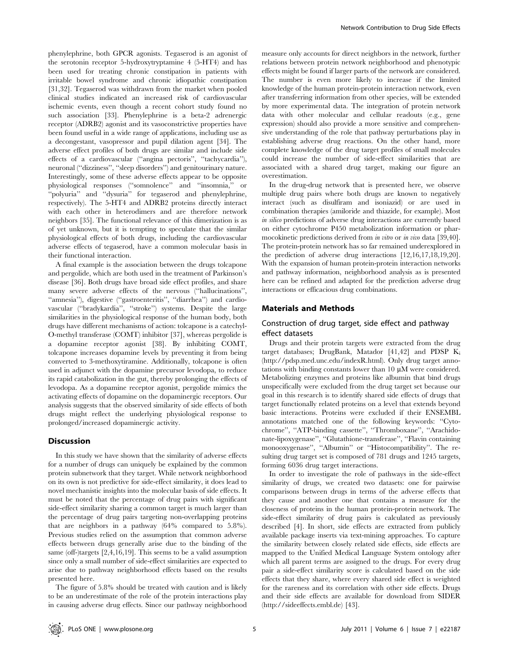phenylephrine, both GPCR agonists. Tegaserod is an agonist of the serotonin receptor 5-hydroxytryptamine 4 (5-HT4) and has been used for treating chronic constipation in patients with irritable bowel syndrome and chronic idiopathic constipation [31,32]. Tegaserod was withdrawn from the market when pooled clinical studies indicated an increased risk of cardiovascular ischemic events, even though a recent cohort study found no such association [33]. Phenylephrine is a beta-2 adrenergic receptor (ADRB2) agonist and its vasoconstrictive properties have been found useful in a wide range of applications, including use as a decongestant, vasopressor and pupil dilation agent [34]. The adverse effect profiles of both drugs are similar and include side effects of a cardiovascular (''angina pectoris'', ''tachycardia''), neuronal (''dizziness'', ''sleep disorders'') and genitourinary nature. Interestingly, some of these adverse effects appear to be opposite physiological responses (''somnolence'' and ''insomnia,'' or ''polyuria'' and ''dysuria'' for tegaserod and phenylephrine, respectively). The 5-HT4 and ADRB2 proteins directly interact with each other in heterodimers and are therefore network neighbors [35]. The functional relevance of this dimerization is as of yet unknown, but it is tempting to speculate that the similar physiological effects of both drugs, including the cardiovascular adverse effects of tegaserod, have a common molecular basis in their functional interaction.

A final example is the association between the drugs tolcapone and pergolide, which are both used in the treatment of Parkinson's disease [36]. Both drugs have broad side effect profiles, and share many severe adverse effects of the nervous (''hallucinations'', ''amnesia''), digestive (''gastroenteritis'', ''diarrhea'') and cardiovascular (''bradykardia'', ''stroke'') systems. Despite the large similarities in the physiological response of the human body, both drugs have different mechanisms of action: tolcapone is a catechyl-O-methyl transferase (COMT) inhibitor [37], whereas pergolide is a dopamine receptor agonist [38]. By inhibiting COMT, tolcapone increases dopamine levels by preventing it from being converted to 3-methoxytiramine. Additionally, tolcapone is often used in adjunct with the dopamine precursor levodopa, to reduce its rapid catabolization in the gut, thereby prolonging the effects of levodopa. As a dopamine receptor agonist, pergolide mimics the activating effects of dopamine on the dopaminergic receptors. Our analysis suggests that the observed similarity of side effects of both drugs might reflect the underlying physiological response to prolonged/increased dopaminergic activity.

## **Discussion**

In this study we have shown that the similarity of adverse effects for a number of drugs can uniquely be explained by the common protein subnetwork that they target. While network neighborhood on its own is not predictive for side-effect similarity, it does lead to novel mechanistic insights into the molecular basis of side effects. It must be noted that the percentage of drug pairs with significant side-effect similarity sharing a common target is much larger than the percentage of drug pairs targeting non-overlapping proteins that are neighbors in a pathway (64% compared to 5.8%). Previous studies relied on the assumption that common adverse effects between drugs generally arise due to the binding of the same (off-)targets [2,4,16,19]. This seems to be a valid assumption since only a small number of side-effect similarities are expected to arise due to pathway neighborhood effects based on the results presented here.

The figure of 5.8% should be treated with caution and is likely to be an underestimate of the role of the protein interactions play in causing adverse drug effects. Since our pathway neighborhood measure only accounts for direct neighbors in the network, further relations between protein network neighborhood and phenotypic effects might be found if larger parts of the network are considered. The number is even more likely to increase if the limited knowledge of the human protein-protein interaction network, even after transferring information from other species, will be extended by more experimental data. The integration of protein network data with other molecular and cellular readouts (e.g., gene expression) should also provide a more sensitive and comprehensive understanding of the role that pathway perturbations play in establishing adverse drug reactions. On the other hand, more complete knowledge of the drug target profiles of small molecules could increase the number of side-effect similarities that are associated with a shared drug target, making our figure an overestimation.

In the drug-drug network that is presented here, we observe multiple drug pairs where both drugs are known to negatively interact (such as disulfiram and isoniazid) or are used in combination therapies (amiloride and thiazide, for example). Most in silico predictions of adverse drug interactions are currently based on either cytochrome P450 metabolization information or pharmocokinetic predictions derived from *in vitro* or *in vivo* data [39,40]. The protein-protein network has so far remained underexplored in the prediction of adverse drug interactions [12,16,17,18,19,20]. With the expansion of human protein-protein interaction networks and pathway information, neighborhood analysis as is presented here can be refined and adapted for the prediction adverse drug interactions or efficacious drug combinations.

# Materials and Methods

## Construction of drug target, side effect and pathway effect datasets

Drugs and their protein targets were extracted from the drug target databases; DrugBank, Matador [41,42] and PDSP  $K_i$ (http://pdsp.med.unc.edu/indexR.html). Only drug target annotations with binding constants lower than  $10 \mu M$  were considered. Metabolizing enzymes and proteins like albumin that bind drugs unspecifically were excluded from the drug target set because our goal in this research is to identify shared side effects of drugs that target functionally related proteins on a level that extends beyond basic interactions. Proteins were excluded if their ENSEMBL annotations matched one of the following keywords: ''Cytochrome'', ''ATP-binding cassette'', ''Thromboxane'', ''Arachidonate-lipoxygenase'', ''Glutathione-transferase'', ''Flavin containing monooxygenase", "Albumin" or "Histocompatibility". The resulting drug target set is composed of 781 drugs and 1245 targets, forming 6036 drug target interactions.

In order to investigate the role of pathways in the side-effect similarity of drugs, we created two datasets: one for pairwise comparisons between drugs in terms of the adverse effects that they cause and another one that contains a measure for the closeness of proteins in the human protein-protein network. The side-effect similarity of drug pairs is calculated as previously described [4]. In short, side effects are extracted from publicly available package inserts via text-mining approaches. To capture the similarity between closely related side effects, side effects are mapped to the Unified Medical Language System ontology after which all parent terms are assigned to the drugs. For every drug pair a side-effect similarity score is calculated based on the side effects that they share, where every shared side effect is weighted for the rareness and its correlation with other side effects. Drugs and their side effects are available for download from SIDER (http://sideeffects.embl.de) [43].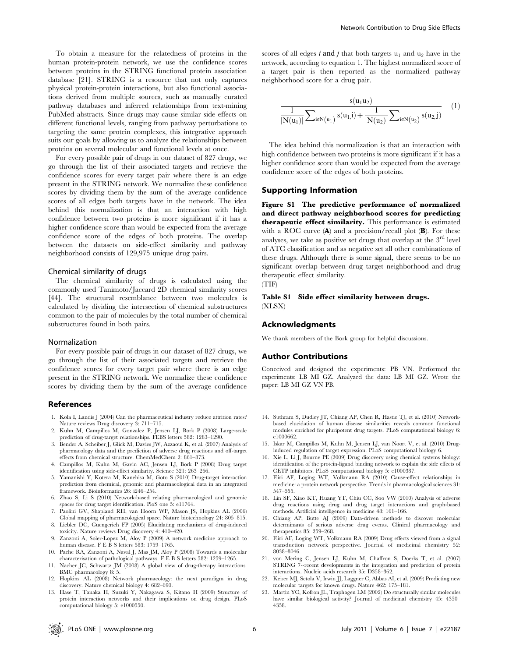To obtain a measure for the relatedness of proteins in the human protein-protein network, we use the confidence scores between proteins in the STRING functional protein association database [21]. STRING is a resource that not only captures physical protein-protein interactions, but also functional associations derived from multiple sources, such as manually curated pathway databases and inferred relationships from text-mining PubMed abstracts. Since drugs may cause similar side effects on different functional levels, ranging from pathway perturbations to targeting the same protein complexes, this integrative approach suits our goals by allowing us to analyze the relationships between proteins on several molecular and functional levels at once.

For every possible pair of drugs in our dataset of 827 drugs, we go through the list of their associated targets and retrieve the confidence scores for every target pair where there is an edge present in the STRING network. We normalize these confidence scores by dividing them by the sum of the average confidence scores of all edges both targets have in the network. The idea behind this normalization is that an interaction with high confidence between two proteins is more significant if it has a higher confidence score than would be expected from the average confidence score of the edges of both proteins. The overlap between the datasets on side-effect similarity and pathway neighborhood consists of 129,975 unique drug pairs.

## Chemical similarity of drugs

The chemical similarity of drugs is calculated using the commonly used Tanimoto/Jaccard 2D chemical similarity scores [44]. The structural resemblance between two molecules is calculated by dividing the intersection of chemical substructures common to the pair of molecules by the total number of chemical substructures found in both pairs.

#### Normalization

For every possible pair of drugs in our dataset of 827 drugs, we go through the list of their associated targets and retrieve the confidence scores for every target pair where there is an edge present in the STRING network. We normalize these confidence scores by dividing them by the sum of the average confidence

#### References

- 1. Kola I, Landis J (2004) Can the pharmaceutical industry reduce attrition rates? Nature reviews Drug discovery 3: 711–715.
- 2. Kuhn M, Campillos M, Gonzalez P, Jensen LJ, Bork P (2008) Large-scale prediction of drug-target relationships. FEBS letters 582: 1283–1290.
- 3. Bender A, Scheiber J, Glick M, Davies JW, Azzaoui K, et al. (2007) Analysis of pharmacology data and the prediction of adverse drug reactions and off-target effects from chemical structure. ChemMedChem 2: 861–873.
- 4. Campillos M, Kuhn M, Gavin AC, Jensen LJ, Bork P (2008) Drug target identification using side-effect similarity. Science 321: 263–266.
- 5. Yamanishi Y, Kotera M, Kanehisa M, Goto S (2010) Drug-target interaction prediction from chemical, genomic and pharmacological data in an integrated framework. Bioinformatics 26: i246–254.
- 6. Zhao S, Li S (2010) Network-based relating pharmacological and genomic spaces for drug target identification. PloS one 5: e11764.
- 7. Paolini GV, Shapland RH, van Hoorn WP, Mason JS, Hopkins AL (2006) Global mapping of pharmacological space. Nature biotechnology 24: 805–815.
- 8. Liebler DC, Guengerich FP (2005) Elucidating mechanisms of drug-induced toxicity. Nature reviews Drug discovery 4: 410–420.
- Zanzoni A, Soler-Lopez M, Aloy P (2009) A network medicine approach to human disease. F E B S letters 583: 1759–1765.
- 10. Pache RA, Zanzoni A, Naval J, Mas JM, Aloy P (2008) Towards a molecular characterisation of pathological pathways. F E B S letters 582: 1259–1265.
- 11. Nacher JC, Schwartz JM (2008) A global view of drug-therapy interactions. BMC pharmacology 8: 5.
- 12. Hopkins AL (2008) Network pharmacology: the next paradigm in drug discovery. Nature chemical biology 4: 682–690.
- 13. Hase T, Tanaka H, Suzuki Y, Nakagawa S, Kitano H (2009) Structure of protein interaction networks and their implications on drug design. PLoS computational biology 5: e1000550.

scores of all edges i and j that both targets  $u_1$  and  $u_2$  have in the network, according to equation 1. The highest normalized score of a target pair is then reported as the normalized pathway neighborhood score for a drug pair.

$$
\frac{s(u_1u_2)}{|N(u_1)|}\sum_{i\in N(u_1)}s(u_1,i)+\frac{1}{|N(u_2)|}\sum_{i\in N(u_2)}s(u_2,j)
$$
 (1)

The idea behind this normalization is that an interaction with high confidence between two proteins is more significant if it has a higher confidence score than would be expected from the average confidence score of the edges of both proteins.

## Supporting Information

Figure S1 The predictive performance of normalized and direct pathway neighborhood scores for predicting therapeutic effect similarity. This performance is estimated with a ROC curve  $(A)$  and a precision/recall plot  $(B)$ . For these analyses, we take as positive set drugs that overlap at the  $3<sup>rd</sup>$  level of ATC classification and as negative set all other combinations of these drugs. Although there is some signal, there seems to be no significant overlap between drug target neighborhood and drug therapeutic effect similarity. (TIF)

Table S1 Side effect similarity between drugs. (XLSX)

## Acknowledgments

We thank members of the Bork group for helpful discussions.

## Author Contributions

Conceived and designed the experiments: PB VN. Performed the experiments: LB MI GZ. Analyzed the data: LB MI GZ. Wrote the paper: LB MI GZ VN PB.

- 14. Suthram S, Dudley JT, Chiang AP, Chen R, Hastie TJ, et al. (2010) Networkbased elucidation of human disease similarities reveals common functional modules enriched for pluripotent drug targets. PLoS computational biology 6: e1000662.
- 15. Iskar M, Campillos M, Kuhn M, Jensen LJ, van Noort V, et al. (2010) Druginduced regulation of target expression. PLoS computational biology 6.
- 16. Xie L, Li J, Bourne PE (2009) Drug discovery using chemical systems biology: identification of the protein-ligand binding network to explain the side effects of CETP inhibitors. PLoS computational biology 5: e1000387.
- 17. Fliri AF, Loging WT, Volkmann RA (2010) Cause-effect relationships in medicine: a protein network perspective. Trends in pharmacological sciences 31: 547–555.
- 18. Lin SF, Xiao KT, Huang YT, Chiu CC, Soo VW (2010) Analysis of adverse drug reactions using drug and drug target interactions and graph-based methods. Artificial intelligence in medicine 48: 161–166.
- 19. Chiang AP, Butte AJ (2009) Data-driven methods to discover molecular determinants of serious adverse drug events. Clinical pharmacology and therapeutics 85: 259–268.
- 20. Fliri AF, Loging WT, Volkmann RA (2009) Drug effects viewed from a signal transduction network perspective. Journal of medicinal chemistry 52: 8038–8046.
- 21. von Mering C, Jensen LJ, Kuhn M, Chaffron S, Doerks T, et al. (2007) STRING 7--recent developments in the integration and prediction of protein interactions. Nucleic acids research 35: D358–362.
- 22. Keiser MJ, Setola V, Irwin JJ, Laggner C, Abbas AI, et al. (2009) Predicting new molecular targets for known drugs. Nature 462: 175–181.
- 23. Martin YC, Kofron JL, Traphagen LM (2002) Do structurally similar molecules have similar biological activity? Journal of medicinal chemistry 45: 4350– 4358.